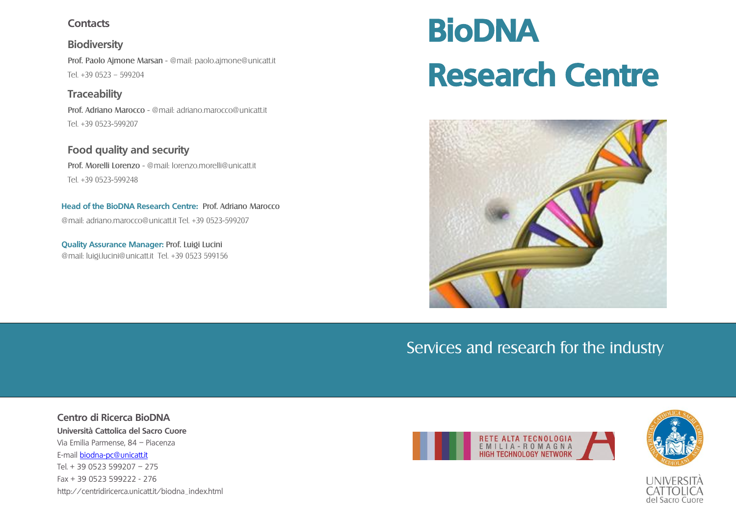## **Contacts**

**Biodiversity** Prof. [Paolo Ajmone Marsan](http://docenti.unicatt.it/ita/paolo_ajmone_marsan) - @mail: [paolo.ajmone@unicatt.it](mailto:paolo.ajmone@unicatt.it) Tel. +39 0523 – 599204

**Traceability** Prof. [Adriano Marocco](http://docenti.unicatt.it/ita/adriano_marocco) - @mail: [adriano.marocco@unicatt.it](mailto:adriano.marocco@unicatt.it) Tel. +39 0523-599207

**Food quality and security** Prof. [Morelli Lorenzo](http://docenti.unicatt.it/ita/lorenzo_morelli) - @mail: [lorenzo.morelli@unicatt.it](mailto:lorenzo.morelli@unicatt.it) Tel. +39 0523-599248

**Head of the BioDNA Research Centre:** Prof. [Adriano Marocco](http://docenti.unicatt.it/ita/adriano_marocco) @mail[: adriano.marocco@unicatt.it](mailto:adriano.marocco@unicatt.it) Tel. +39 0523-599207

**Quality Assurance Manager:** Prof. Luigi Lucini @mail: luigi.lucini@unicatt.it Tel. +39 0523 599156

# **BioDNA Research Centre**



# Services and research for the industry

**Centro di Ricerca BioDNA Università Cattolica del Sacro Cuore** Via Emilia Parmense, 84 – Piacenza E-mail [biodna-pc@unicatt.it](mailto:biodna-pc@unicatt.it) Tel. + 39 0523 599207 – 275 Fax + 39 0523 599222 - 276 http://centridiricerca.unicatt.it/biodna\_index.html